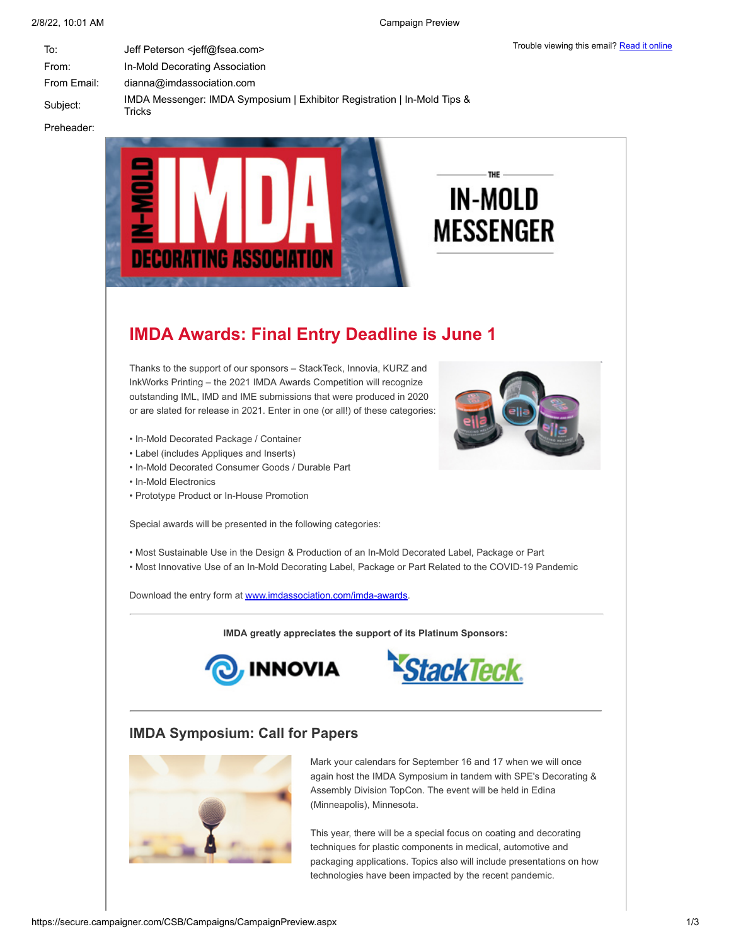| To:         | Jeff Peterson <jeff@fsea.com></jeff@fsea.com>                                      |
|-------------|------------------------------------------------------------------------------------|
| From:       | In-Mold Decorating Association                                                     |
| From Email: | dianna@imdassociation.com                                                          |
| Subject:    | IMDA Messenger: IMDA Symposium   Exhibitor Registration   In-Mold Tips &<br>Tricks |
|             |                                                                                    |

Preheader:



# **IMDA Awards: Final Entry Deadline is June 1**

Thanks to the support of our sponsors – StackTeck, Innovia, KURZ and InkWorks Printing – the 2021 IMDA Awards Competition will recognize outstanding IML, IMD and IME submissions that were produced in 2020 or are slated for release in 2021. Enter in one (or all!) of these categories:

- In-Mold Decorated Package / Container
- Label (includes Appliques and Inserts)
- In-Mold Decorated Consumer Goods / Durable Part
- In-Mold Electronics
- Prototype Product or In-House Promotion

Special awards will be presented in the following categories:

- Most Sustainable Use in the Design & Production of an In-Mold Decorated Label, Package or Part
- Most Innovative Use of an In-Mold Decorating Label, Package or Part Related to the COVID-19 Pandemic

Download the entry form at [www.imdassociation.com/imda-awards.](http://www.imdassociation.com/imda-awards)

**IMDA greatly appreciates the support of its Platinum Sponsors:**





## **IMDA Symposium: Call for Papers**



Mark your calendars for September 16 and 17 when we will once again host the IMDA Symposium in tandem with SPE's Decorating & Assembly Division TopCon. The event will be held in Edina (Minneapolis), Minnesota.

This year, there will be a special focus on coating and decorating techniques for plastic components in medical, automotive and packaging applications. Topics also will include presentations on how technologies have been impacted by the recent pandemic.

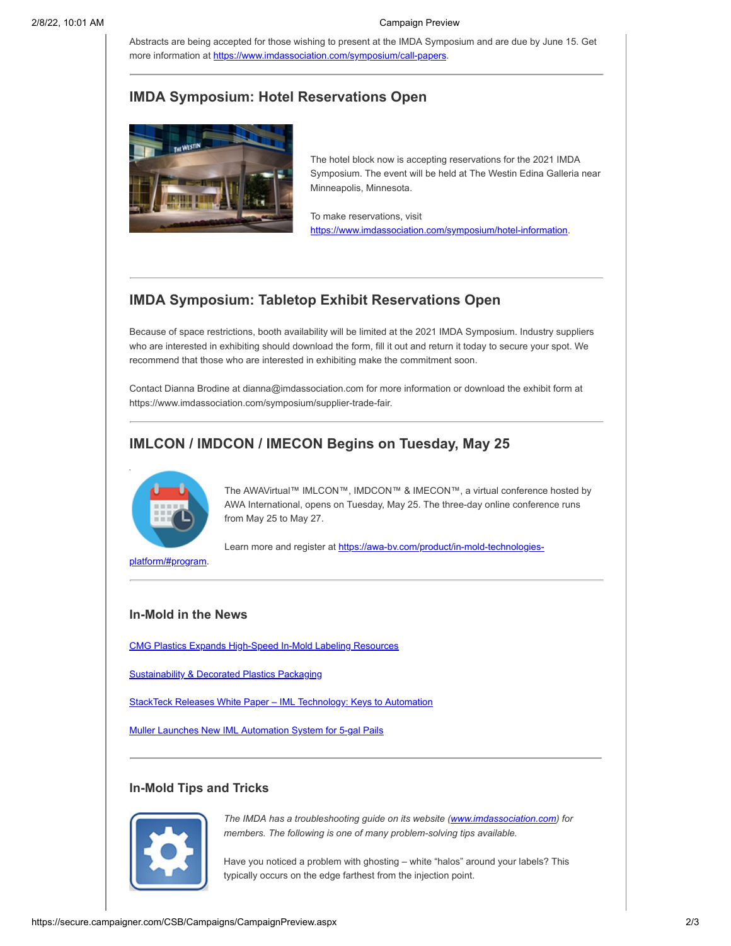Abstracts are being accepted for those wishing to present at the IMDA Symposium and are due by June 15. Get more information at <https://www.imdassociation.com/symposium/call-papers>.

## **IMDA Symposium: Hotel Reservations Open**



The hotel block now is accepting reservations for the 2021 IMDA Symposium. The event will be held at The Westin Edina Galleria near Minneapolis, Minnesota.

To make reservations, visit <https://www.imdassociation.com/symposium/hotel-information>.

# **IMDA Symposium: Tabletop Exhibit Reservations Open**

Because of space restrictions, booth availability will be limited at the 2021 IMDA Symposium. Industry suppliers who are interested in exhibiting should download the form, fill it out and return it today to secure your spot. We recommend that those who are interested in exhibiting make the commitment soon.

Contact Dianna Brodine at dianna@imdassociation.com for more information or download the exhibit form at https://www.imdassociation.com/symposium/supplier-trade-fair.

# **IMLCON / IMDCON / IMECON Begins on Tuesday, May 25**



The AWAVirtual™ IMLCON™, IMDCON™ & IMECON™, a virtual conference hosted by AWA International, opens on Tuesday, May 25. The three-day online conference runs from May 25 to May 27.

[Learn more and register at https://awa-bv.com/product/in-mold-technologies-](https://awa-bv.com/product/in-mold-technologies-platform/#program)

platform/#program.

#### **In-Mold in the News**

[CMG Plastics Expands High-Speed In-Mold Labeling Resources](https://plasticsdecorating.com/enews/2021/cmg-plastics-expands-high-speed-in-mold-labeling-resources/)

[Sustainability & Decorated Plastics Packaging](https://plasticsdecorating.com/articles/2021/sustainability-decorated-plastics-packaging/)

[StackTeck Releases White Paper – IML Technology: Keys to Automation](https://stackteck.com/about/whitepapers/iml-technology-keys-to-automation/)

[Muller Launches New IML Automation System for 5-gal Pails](https://news.thomasnet.com/fullstory/new-iml-automation-system-with-digital-label-placement-positioning-40044923)

### **In-Mold Tips and Tricks**



*The IMDA has a troubleshooting guide on its website ([www.imdassociation.com\)](http://www.imdassociation.com/) for members. The following is one of many problem-solving tips available.*

Have you noticed a problem with ghosting – white "halos" around your labels? This typically occurs on the edge farthest from the injection point.